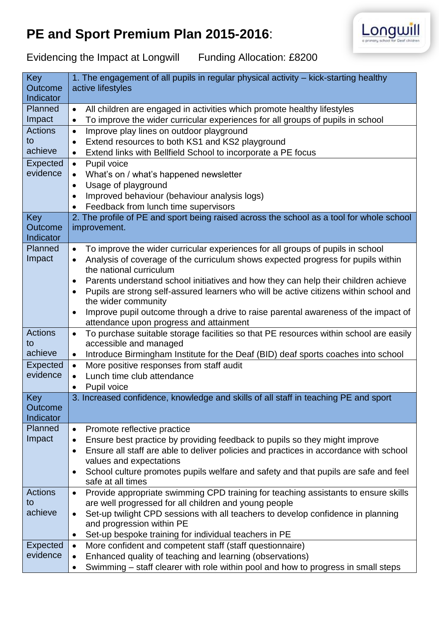## **PE and Sport Premium Plan 2015-2016**:



Evidencing the Impact at Longwill Funding Allocation: £8200

| Key<br><b>Outcome</b>       | 1. The engagement of all pupils in regular physical activity – kick-starting healthy<br>active lifestyles       |
|-----------------------------|-----------------------------------------------------------------------------------------------------------------|
| Indicator                   |                                                                                                                 |
| Planned                     | All children are engaged in activities which promote healthy lifestyles<br>$\bullet$                            |
| Impact                      | To improve the wider curricular experiences for all groups of pupils in school<br>$\bullet$                     |
| <b>Actions</b><br>to        | Improve play lines on outdoor playground<br>$\bullet$                                                           |
| achieve                     | Extend resources to both KS1 and KS2 playground<br>$\bullet$                                                    |
|                             | Extend links with Bellfield School to incorporate a PE focus<br>$\bullet$                                       |
| Expected<br>evidence        | Pupil voice<br>$\bullet$                                                                                        |
|                             | What's on / what's happened newsletter                                                                          |
|                             | Usage of playground<br>$\bullet$                                                                                |
|                             | Improved behaviour (behaviour analysis logs)<br>$\bullet$<br>Feedback from lunch time supervisors               |
| Key                         | 2. The profile of PE and sport being raised across the school as a tool for whole school                        |
| <b>Outcome</b>              | improvement.                                                                                                    |
| Indicator                   |                                                                                                                 |
| Planned                     | To improve the wider curricular experiences for all groups of pupils in school<br>$\bullet$                     |
| Impact                      | Analysis of coverage of the curriculum shows expected progress for pupils within<br>$\bullet$                   |
|                             | the national curriculum                                                                                         |
|                             | Parents understand school initiatives and how they can help their children achieve<br>$\bullet$                 |
|                             | Pupils are strong self-assured learners who will be active citizens within school and<br>$\bullet$              |
|                             | the wider community                                                                                             |
|                             | Improve pupil outcome through a drive to raise parental awareness of the impact of<br>$\bullet$                 |
|                             | attendance upon progress and attainment                                                                         |
| <b>Actions</b>              | To purchase suitable storage facilities so that PE resources within school are easily<br>$\bullet$              |
| to                          | accessible and managed                                                                                          |
| achieve                     | Introduce Birmingham Institute for the Deaf (BID) deaf sports coaches into school<br>$\bullet$                  |
| <b>Expected</b><br>evidence | More positive responses from staff audit<br>$\bullet$                                                           |
|                             | Lunch time club attendance<br>$\bullet$                                                                         |
| Key                         | Pupil voice<br>$\bullet$<br>3. Increased confidence, knowledge and skills of all staff in teaching PE and sport |
| <b>Outcome</b>              |                                                                                                                 |
| Indicator                   |                                                                                                                 |
| <b>Planned</b>              | Promote reflective practice<br>$\bullet$                                                                        |
| Impact                      | Ensure best practice by providing feedback to pupils so they might improve<br>$\bullet$                         |
|                             | Ensure all staff are able to deliver policies and practices in accordance with school<br>$\bullet$              |
|                             | values and expectations                                                                                         |
|                             | School culture promotes pupils welfare and safety and that pupils are safe and feel<br>$\bullet$                |
|                             | safe at all times                                                                                               |
| <b>Actions</b>              | Provide appropriate swimming CPD training for teaching assistants to ensure skills<br>$\bullet$                 |
| to                          | are well progressed for all children and young people                                                           |
| achieve                     | Set-up twilight CPD sessions with all teachers to develop confidence in planning<br>$\bullet$                   |
|                             | and progression within PE                                                                                       |
|                             | Set-up bespoke training for individual teachers in PE<br>$\bullet$                                              |
| <b>Expected</b>             | More confident and competent staff (staff questionnaire)<br>$\bullet$                                           |
| evidence                    | Enhanced quality of teaching and learning (observations)                                                        |
|                             | Swimming – staff clearer with role within pool and how to progress in small steps<br>$\bullet$                  |